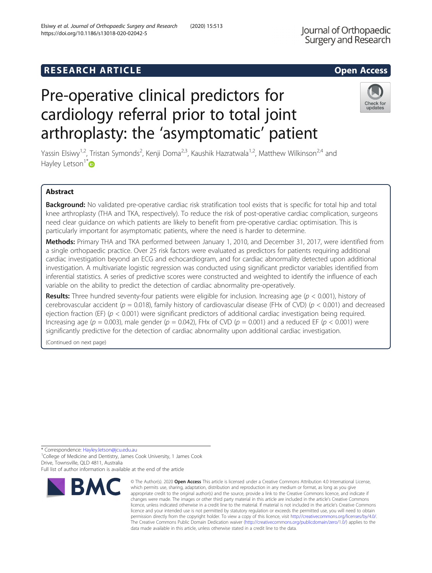# **RESEARCH ARTICLE Example 2014 12:30 The SEAR CH ACCESS**

# Pre-operative clinical predictors for cardiology referral prior to total joint arthroplasty: the 'asymptomatic' patient

Yassin Elsiwy<sup>1,2</sup>, Tristan Symonds<sup>2</sup>, Kenji Doma<sup>2,3</sup>, Kaushik Hazratwala<sup>1,2</sup>, Matthew Wilkinson<sup>2,4</sup> and Hayley Letson<sup>1\*</sup>

# Abstract

Background: No validated pre-operative cardiac risk stratification tool exists that is specific for total hip and total knee arthroplasty (THA and TKA, respectively). To reduce the risk of post-operative cardiac complication, surgeons need clear guidance on which patients are likely to benefit from pre-operative cardiac optimisation. This is particularly important for asymptomatic patients, where the need is harder to determine.

Methods: Primary THA and TKA performed between January 1, 2010, and December 31, 2017, were identified from a single orthopaedic practice. Over 25 risk factors were evaluated as predictors for patients requiring additional cardiac investigation beyond an ECG and echocardiogram, and for cardiac abnormality detected upon additional investigation. A multivariate logistic regression was conducted using significant predictor variables identified from inferential statistics. A series of predictive scores were constructed and weighted to identify the influence of each variable on the ability to predict the detection of cardiac abnormality pre-operatively.

Results: Three hundred seventy-four patients were eligible for inclusion. Increasing age ( $p < 0.001$ ), history of cerebrovascular accident ( $p = 0.018$ ), family history of cardiovascular disease (FHx of CVD) ( $p < 0.001$ ) and decreased ejection fraction (EF) ( $p < 0.001$ ) were significant predictors of additional cardiac investigation being required. Increasing age ( $p = 0.003$ ), male gender ( $p = 0.042$ ), FHx of CVD ( $p = 0.001$ ) and a reduced EF ( $p < 0.001$ ) were significantly predictive for the detection of cardiac abnormality upon additional cardiac investigation.

(Continued on next page)

\* Correspondence: [Hayley.letson@jcu.edu.au](mailto:Hayley.letson@jcu.edu.au) <sup>1</sup>

**BMC** 

<sup>1</sup>College of Medicine and Dentistry, James Cook University, 1 James Cook Drive, Townsville, QLD 4811, Australia

Full list of author information is available at the end of the article



© The Author(s), 2020 **Open Access** This article is licensed under a Creative Commons Attribution 4.0 International License, which permits use, sharing, adaptation, distribution and reproduction in any medium or format, as long as you give



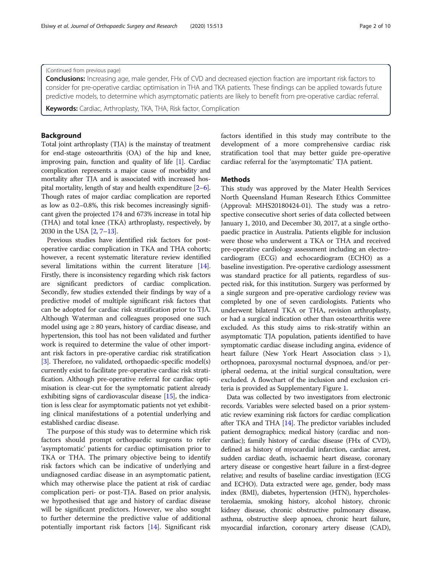#### (Continued from previous page)

**Conclusions:** Increasing age, male gender, FHx of CVD and decreased ejection fraction are important risk factors to consider for pre-operative cardiac optimisation in THA and TKA patients. These findings can be applied towards future predictive models, to determine which asymptomatic patients are likely to benefit from pre-operative cardiac referral.

**Keywords:** Cardiac, Arthroplasty, TKA, THA, Risk factor, Complication

# Background

Total joint arthroplasty (TJA) is the mainstay of treatment for end-stage osteoarthritis (OA) of the hip and knee, improving pain, function and quality of life [[1](#page-8-0)]. Cardiac complication represents a major cause of morbidity and mortality after TJA and is associated with increased hospital mortality, length of stay and health expenditure [\[2](#page-8-0)–[6](#page-8-0)]. Though rates of major cardiac complication are reported as low as 0.2–0.8%, this risk becomes increasingly significant given the projected 174 and 673% increase in total hip (THA) and total knee (TKA) arthroplasty, respectively, by 2030 in the USA [\[2,](#page-8-0) [7](#page-8-0)–[13\]](#page-8-0).

Previous studies have identified risk factors for postoperative cardiac complication in TKA and THA cohorts; however, a recent systematic literature review identified several limitations within the current literature [[14](#page-8-0)]. Firstly, there is inconsistency regarding which risk factors are significant predictors of cardiac complication. Secondly, few studies extended their findings by way of a predictive model of multiple significant risk factors that can be adopted for cardiac risk stratification prior to TJA. Although Waterman and colleagues proposed one such model using age ≥ 80 years, history of cardiac disease, and hypertension, this tool has not been validated and further work is required to determine the value of other important risk factors in pre-operative cardiac risk stratification [[3\]](#page-8-0). Therefore, no validated, orthopaedic-specific model(s) currently exist to facilitate pre-operative cardiac risk stratification. Although pre-operative referral for cardiac optimisation is clear-cut for the symptomatic patient already exhibiting signs of cardiovascular disease [[15\]](#page-9-0), the indication is less clear for asymptomatic patients not yet exhibiting clinical manifestations of a potential underlying and established cardiac disease.

The purpose of this study was to determine which risk factors should prompt orthopaedic surgeons to refer 'asymptomatic' patients for cardiac optimisation prior to TKA or THA. The primary objective being to identify risk factors which can be indicative of underlying and undiagnosed cardiac disease in an asymptomatic patient, which may otherwise place the patient at risk of cardiac complication peri- or post-TJA. Based on prior analysis, we hypothesised that age and history of cardiac disease will be significant predictors. However, we also sought to further determine the predictive value of additional potentially important risk factors [[14\]](#page-8-0). Significant risk factors identified in this study may contribute to the development of a more comprehensive cardiac risk stratification tool that may better guide pre-operative cardiac referral for the 'asymptomatic' TJA patient.

#### Methods

This study was approved by the Mater Health Services North Queensland Human Research Ethics Committee (Approval: MHS20180424-01). The study was a retrospective consecutive short series of data collected between January 1, 2010, and December 30, 2017, at a single orthopaedic practice in Australia. Patients eligible for inclusion were those who underwent a TKA or THA and received pre-operative cardiology assessment including an electrocardiogram (ECG) and echocardiogram (ECHO) as a baseline investigation. Pre-operative cardiology assessment was standard practice for all patients, regardless of suspected risk, for this institution. Surgery was performed by a single surgeon and pre-operative cardiology review was completed by one of seven cardiologists. Patients who underwent bilateral TKA or THA, revision arthroplasty, or had a surgical indication other than osteoarthritis were excluded. As this study aims to risk-stratify within an asymptomatic TJA population, patients identified to have symptomatic cardiac disease including angina, evidence of heart failure (New York Heart Association class > 1), orthopnoea, paroxysmal nocturnal dyspnoea, and/or peripheral oedema, at the initial surgical consultation, were excluded. A flowchart of the inclusion and exclusion criteria is provided as Supplementary Figure [1.](#page-8-0)

Data was collected by two investigators from electronic records. Variables were selected based on a prior systematic review examining risk factors for cardiac complication after TKA and THA [\[14\]](#page-8-0). The predictor variables included patient demographics; medical history (cardiac and noncardiac); family history of cardiac disease (FHx of CVD), defined as history of myocardial infarction, cardiac arrest, sudden cardiac death, ischaemic heart disease, coronary artery disease or congestive heart failure in a first-degree relative; and results of baseline cardiac investigation (ECG and ECHO). Data extracted were age, gender, body mass index (BMI), diabetes, hypertension (HTN), hypercholesterolaemia, smoking history, alcohol history, chronic kidney disease, chronic obstructive pulmonary disease, asthma, obstructive sleep apnoea, chronic heart failure, myocardial infarction, coronary artery disease (CAD),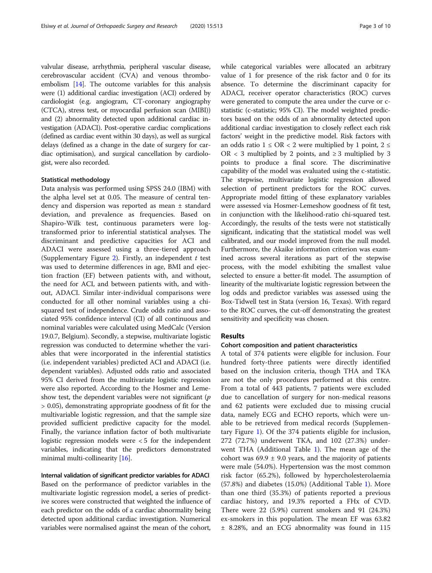valvular disease, arrhythmia, peripheral vascular disease, cerebrovascular accident (CVA) and venous thromboembolism [[14](#page-8-0)]. The outcome variables for this analysis were (1) additional cardiac investigation (ACI) ordered by cardiologist (e.g. angiogram, CT-coronary angiography (CTCA), stress test, or myocardial perfusion scan (MIBI)) and (2) abnormality detected upon additional cardiac investigation (ADACI). Post-operative cardiac complications (defined as cardiac event within 30 days), as well as surgical delays (defined as a change in the date of surgery for cardiac optimisation), and surgical cancellation by cardiologist, were also recorded.

## Statistical methodology

Data analysis was performed using SPSS 24.0 (IBM) with the alpha level set at 0.05. The measure of central tendency and dispersion was reported as mean ± standard deviation, and prevalence as frequencies. Based on Shapiro-Wilk test, continuous parameters were logtransformed prior to inferential statistical analyses. The discriminant and predictive capacities for ACI and ADACI were assessed using a three-tiered approach (Supplementary Figure [2\)](#page-8-0). Firstly, an independent  $t$  test was used to determine differences in age, BMI and ejection fraction (EF) between patients with, and without, the need for ACI, and between patients with, and without, ADACI. Similar inter-individual comparisons were conducted for all other nominal variables using a chisquared test of independence. Crude odds ratio and associated 95% confidence interval (CI) of all continuous and nominal variables were calculated using MedCalc (Version 19.0.7, Belgium). Secondly, a stepwise, multivariate logistic regression was conducted to determine whether the variables that were incorporated in the inferential statistics (i.e. independent variables) predicted ACI and ADACI (i.e. dependent variables). Adjusted odds ratio and associated 95% CI derived from the multivariate logistic regression were also reported. According to the Hosmer and Lemeshow test, the dependent variables were not significant  $(p)$ > 0.05), demonstrating appropriate goodness of fit for the multivariable logistic regression, and that the sample size provided sufficient predictive capacity for the model. Finally, the variance inflation factor of both multivariate logistic regression models were < 5 for the independent variables, indicating that the predictors demonstrated minimal multi-collinearity [\[16\]](#page-9-0).

Internal validation of significant predictor variables for ADACI Based on the performance of predictor variables in the multivariate logistic regression model, a series of predictive scores were constructed that weighted the influence of each predictor on the odds of a cardiac abnormality being detected upon additional cardiac investigation. Numerical variables were normalised against the mean of the cohort, while categorical variables were allocated an arbitrary value of 1 for presence of the risk factor and 0 for its absence. To determine the discriminant capacity for ADACI, receiver operator characteristics (ROC) curves were generated to compute the area under the curve or cstatistic (c-statistic; 95% CI). The model weighted predictors based on the odds of an abnormality detected upon additional cardiac investigation to closely reflect each risk factors' weight in the predictive model. Risk factors with an odds ratio  $1 \leq OR < 2$  were multiplied by 1 point,  $2 \leq$ OR < 3 multiplied by 2 points, and  $\geq$  3 multiplied by 3 points to produce a final score. The discriminative capability of the model was evaluated using the c-statistic. The stepwise, multivariate logistic regression allowed selection of pertinent predictors for the ROC curves. Appropriate model fitting of these explanatory variables were assessed via Hosmer-Lemeshow goodness of fit test, in conjunction with the likelihood-ratio chi-squared test. Accordingly, the results of the tests were not statistically significant, indicating that the statistical model was well calibrated, and our model improved from the null model. Furthermore, the Akaike information criterion was examined across several iterations as part of the stepwise process, with the model exhibiting the smallest value selected to ensure a better-fit model. The assumption of linearity of the multivariate logistic regression between the log odds and predictor variables was assessed using the Box-Tidwell test in Stata (version 16, Texas). With regard to the ROC curves, the cut-off demonstrating the greatest sensitivity and specificity was chosen.

# Results

#### Cohort composition and patient characteristics

A total of 374 patients were eligible for inclusion. Four hundred forty-three patients were directly identified based on the inclusion criteria, though THA and TKA are not the only procedures performed at this centre. From a total of 443 patients, 7 patients were excluded due to cancellation of surgery for non-medical reasons and 62 patients were excluded due to missing crucial data, namely ECG and ECHO reports, which were unable to be retrieved from medical records (Supplementary Figure [1](#page-8-0)). Of the 374 patients eligible for inclusion, 272 (72.7%) underwent TKA, and 102 (27.3%) underwent THA (Additional Table [1\)](#page-8-0). The mean age of the cohort was  $69.9 \pm 9.0$  years, and the majority of patients were male (54.0%). Hypertension was the most common risk factor (65.2%), followed by hypercholesterolaemia (57.8%) and diabetes (15.0%) (Additional Table [1\)](#page-8-0). More than one third (35.3%) of patients reported a previous cardiac history, and 19.3% reported a FHx of CVD. There were 22 (5.9%) current smokers and 91 (24.3%) ex-smokers in this population. The mean EF was 63.82 ± 8.28%, and an ECG abnormality was found in 115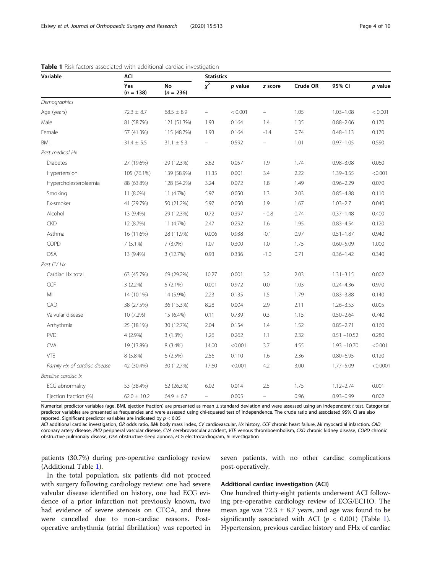| Variable                     | ACI                |                   | <b>Statistics</b>        |           |          |          |                |           |
|------------------------------|--------------------|-------------------|--------------------------|-----------|----------|----------|----------------|-----------|
|                              | Yes<br>$(n = 138)$ | No<br>$(n = 236)$ | $\overline{x^2}$         | $p$ value | z score  | Crude OR | 95% CI         | $p$ value |
| Demographics                 |                    |                   |                          |           |          |          |                |           |
| Age (years)                  | $72.3 \pm 8.7$     | $68.5 \pm 8.9$    | $\overline{\phantom{0}}$ | < 0.001   | $\equiv$ | 1.05     | $1.03 - 1.08$  | < 0.001   |
| Male                         | 81 (58.7%)         | 121 (51.3%)       | 1.93                     | 0.164     | 1.4      | 1.35     | $0.88 - 2.06$  | 0.170     |
| Female                       | 57 (41.3%)         | 115 (48.7%)       | 1.93                     | 0.164     | $-1.4$   | 0.74     | $0.48 - 1.13$  | 0.170     |
| BMI                          | $31.4 \pm 5.5$     | $31.1 \pm 5.3$    |                          | 0.592     |          | 1.01     | $0.97 - 1.05$  | 0.590     |
| Past medical Hx              |                    |                   |                          |           |          |          |                |           |
| Diabetes                     | 27 (19.6%)         | 29 (12.3%)        | 3.62                     | 0.057     | 1.9      | 1.74     | $0.98 - 3.08$  | 0.060     |
| Hypertension                 | 105 (76.1%)        | 139 (58.9%)       | 11.35                    | 0.001     | 3.4      | 2.22     | $1.39 - 3.55$  | < 0.001   |
| Hypercholesterolaemia        | 88 (63.8%)         | 128 (54.2%)       | 3.24                     | 0.072     | 1.8      | 1.49     | $0.96 - 2.29$  | 0.070     |
| Smoking                      | 11 (8.0%)          | 11 (4.7%)         | 5.97                     | 0.050     | 1.3      | 2.03     | $0.85 - 4.88$  | 0.110     |
| Ex-smoker                    | 41 (29.7%)         | 50 (21.2%)        | 5.97                     | 0.050     | 1.9      | 1.67     | $1.03 - 2.7$   | 0.040     |
| Alcohol                      | 13 (9.4%)          | 29 (12.3%)        | 0.72                     | 0.397     | $-0.8$   | 0.74     | $0.37 - 1.48$  | 0.400     |
| <b>CKD</b>                   | 12 (8.7%)          | 11 (4.7%)         | 2.47                     | 0.292     | 1.6      | 1.95     | $0.83 - 4.54$  | 0.120     |
| Asthma                       | 16 (11.6%)         | 28 (11.9%)        | 0.006                    | 0.938     | $-0.1$   | 0.97     | $0.51 - 1.87$  | 0.940     |
| COPD                         | $7(5.1\%)$         | $7(3.0\%)$        | 1.07                     | 0.300     | 1.0      | 1.75     | $0.60 - 5.09$  | 1.000     |
| OSA                          | 13 (9.4%)          | 3 (12.7%)         | 0.93                     | 0.336     | $-1.0$   | 0.71     | $0.36 - 1.42$  | 0.340     |
| Past CV Hx                   |                    |                   |                          |           |          |          |                |           |
| Cardiac Hx total             | 63 (45.7%)         | 69 (29.2%)        | 10.27                    | 0.001     | 3.2      | 2.03     | $1.31 - 3.15$  | 0.002     |
| CCF                          | $3(2.2\%)$         | $5(2.1\%)$        | 0.001                    | 0.972     | 0.0      | 1.03     | $0.24 - 4.36$  | 0.970     |
| M <sub>l</sub>               | 14 (10.1%)         | 14 (5.9%)         | 2.23                     | 0.135     | 1.5      | 1.79     | $0.83 - 3.88$  | 0.140     |
| CAD                          | 38 (27.5%)         | 36 (15.3%)        | 8.28                     | 0.004     | 2.9      | 2.11     | $1.26 - 3.53$  | 0.005     |
| Valvular disease             | 10 (7.2%)          | 15 (6.4%)         | 0.11                     | 0.739     | 0.3      | 1.15     | $0.50 - 2.64$  | 0.740     |
| Arrhythmia                   | 25 (18.1%)         | 30 (12.7%)        | 2.04                     | 0.154     | 1.4      | 1.52     | $0.85 - 2.71$  | 0.160     |
| <b>PVD</b>                   | 4(2.9%)            | 3(1.3%)           | 1.26                     | 0.262     | 1.1      | 2.32     | $0.51 - 10.52$ | 0.280     |
| <b>CVA</b>                   | 19 (13.8%)         | 8 (3.4%)          | 14.00                    | < 0.001   | 3.7      | 4.55     | $1.93 - 10.70$ | < 0.001   |
| VTE                          | 8 (5.8%)           | 6(2.5%)           | 2.56                     | 0.110     | 1.6      | 2.36     | $0.80 - 6.95$  | 0.120     |
| Family Hx of cardiac disease | 42 (30.4%)         | 30 (12.7%)        | 17.60                    | < 0.001   | 4.2      | 3.00     | $1.77 - 5.09$  | < 0.0001  |
| Baseline cardiac lx          |                    |                   |                          |           |          |          |                |           |
| ECG abnormality              | 53 (38.4%)         | 62 (26.3%)        | 6.02                     | 0.014     | 2.5      | 1.75     | $1.12 - 2.74$  | 0.001     |
| Ejection fraction (%)        | $62.0 \pm 10.2$    | $64.9 \pm 6.7$    | $\qquad \qquad -$        | 0.005     | $\equiv$ | 0.96     | $0.93 - 0.99$  | 0.002     |

<span id="page-3-0"></span>

|  |  |  |  | <b>Table 1</b> Risk factors associated with additional cardiac investigation |
|--|--|--|--|------------------------------------------------------------------------------|
|  |  |  |  |                                                                              |

Numerical predictor variables (age, BMI, ejection fraction) are presented as mean ± standard deviation and were assessed using an independent t test. Categorical predictor variables are presented as frequencies and were assessed using chi-squared test of independence. The crude ratio and associated 95% CI are also reported. Significant predictor variables are indicated by  $p < 0.05$ 

ACI additional cardiac investigation, OR odds ratio, BMI body mass index, CV cardiovascular, Hx history, CCF chronic heart failure, MI myocardial infarction, CAD coronary artery disease, PVD peripheral vascular disease, CVA cerebrovascular accident, VTE venous thromboembolism, CKD chronic kidney disease, COPD chronic obstructive pulmonary disease, OSA obstructive sleep apnoea, ECG electrocardiogram, Ix investigation

patients (30.7%) during pre-operative cardiology review (Additional Table [1\)](#page-8-0).

seven patients, with no other cardiac complications post-operatively.

In the total population, six patients did not proceed with surgery following cardiology review: one had severe valvular disease identified on history, one had ECG evidence of a prior infarction not previously known, two had evidence of severe stenosis on CTCA, and three were cancelled due to non-cardiac reasons. Postoperative arrhythmia (atrial fibrillation) was reported in

# Additional cardiac investigation (ACI)

One hundred thirty-eight patients underwent ACI following pre-operative cardiology review of ECG/ECHO. The mean age was  $72.3 \pm 8.7$  years, and age was found to be significantly associated with ACI ( $p < 0.001$ ) (Table 1). Hypertension, previous cardiac history and FHx of cardiac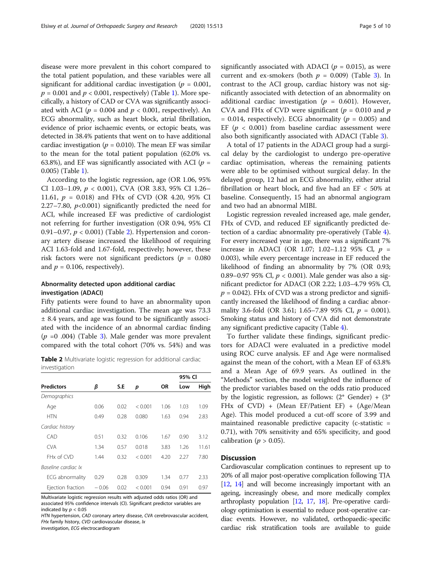disease were more prevalent in this cohort compared to the total patient population, and these variables were all significant for additional cardiac investigation ( $p = 0.001$ ,  $p = 0.001$  $p = 0.001$  and  $p < 0.001$ , respectively) (Table 1). More specifically, a history of CAD or CVA was significantly associated with ACI ( $p = 0.004$  and  $p < 0.001$ , respectively). An ECG abnormality, such as heart block, atrial fibrillation, evidence of prior ischaemic events, or ectopic beats, was detected in 38.4% patients that went on to have additional cardiac investigation ( $p = 0.010$ ). The mean EF was similar to the mean for the total patient population (62.0% vs. 63.8%), and EF was significantly associated with ACI ( $p =$ 0.005) (Table [1\)](#page-3-0).

According to the logistic regression, age (OR 1.06, 95% CI 1.03–1.09, p < 0.001), CVA (OR 3.83, 95% CI 1.26– 11.61,  $p = 0.018$ ) and FHx of CVD (OR 4.20, 95% CI 2.27–7.80,  $p<0.001$ ) significantly predicted the need for ACI, while increased EF was predictive of cardiologist not referring for further investigation (OR 0.94, 95% CI 0.91–0.97,  $p < 0.001$ ) (Table 2). Hypertension and coronary artery disease increased the likelihood of requiring ACI 1.63-fold and 1.67-fold, respectively; however, these risk factors were not significant predictors ( $p = 0.080$ and  $p = 0.106$ , respectively).

# Abnormality detected upon additional cardiac investigation (ADACI)

Fifty patients were found to have an abnormality upon additional cardiac investigation. The mean age was 73.3 ± 8.4 years, and age was found to be significantly associated with the incidence of an abnormal cardiac finding  $(p = 0.004)$  (Table [3\)](#page-5-0). Male gender was more prevalent compared with the total cohort (70% vs. 54%) and was

Table 2 Multivariate logistic regression for additional cardiac investigation

|                     |         |      |         |      | 95% CI |       |
|---------------------|---------|------|---------|------|--------|-------|
| <b>Predictors</b>   | β       | S.E  | р       | OR   | Low    | High  |
| Demographics        |         |      |         |      |        |       |
| Age                 | 0.06    | 0.02 | < 0.001 | 1.06 | 1.03   | 1.09  |
| <b>HTN</b>          | 0.49    | 0.28 | 0.080   | 1.63 | 0.94   | 2.83  |
| Cardiac history     |         |      |         |      |        |       |
| CAD                 | 0.51    | 0.32 | 0.106   | 1.67 | 0.90   | 3.12  |
| <b>CVA</b>          | 1.34    | 0.57 | 0.018   | 3.83 | 1.26   | 11.61 |
| FHx of CVD          | 1.44    | 0.32 | < 0.001 | 4.20 | 2.27   | 7.80  |
| Baseline cardiac Ix |         |      |         |      |        |       |
| ECG abnormality     | 0.29    | 0.28 | 0.309   | 1.34 | 0.77   | 2.33  |
| Ejection fraction   | $-0.06$ | 0.02 | < 0.001 | 0.94 | 0.91   | 0.97  |

Multivariate logistic regression results with adjusted odds ratios (OR) and associated 95% confidence intervals (Cl). Significant predictor variables are indicated by  $p < 0.05$ 

investigation, ECG electrocardiogram

significantly associated with ADACI ( $p = 0.015$ ), as were current and ex-smokers (both  $p = 0.009$ ) (Table [3](#page-5-0)). In contrast to the ACI group, cardiac history was not significantly associated with detection of an abnormality on additional cardiac investigation ( $p = 0.601$ ). However, CVA and FHx of CVD were significant ( $p = 0.010$  and  $p$ ) = 0.014, respectively). ECG abnormality ( $p = 0.005$ ) and EF ( $p < 0.001$ ) from baseline cardiac assessment were also both significantly associated with ADACI (Table [3\)](#page-5-0).

A total of 17 patients in the ADACI group had a surgical delay by the cardiologist to undergo pre-operative cardiac optimisation, whereas the remaining patients were able to be optimised without surgical delay. In the delayed group, 12 had an ECG abnormality, either atrial fibrillation or heart block, and five had an EF < 50% at baseline. Consequently, 15 had an abnormal angiogram and two had an abnormal MIBI.

Logistic regression revealed increased age, male gender, FHx of CVD, and reduced EF significantly predicted detection of a cardiac abnormality pre-operatively (Table [4](#page-6-0)). For every increased year in age, there was a significant 7% increase in ADACI (OR 1.07; 1.02-1.12 95% Cl,  $p =$ 0.003), while every percentage increase in EF reduced the likelihood of finding an abnormality by 7% (OR 0.93; 0.89–0.97 95% Cl,  $p < 0.001$ ). Male gender was also a significant predictor for ADACI (OR 2.22; 1.03–4.79 95% Cl,  $p = 0.042$ ). FHx of CVD was a strong predictor and significantly increased the likelihood of finding a cardiac abnormality 3.6-fold (OR 3.61; 1.65–7.89 95% CI,  $p = 0.001$ ). Smoking status and history of CVA did not demonstrate any significant predictive capacity (Table [4\)](#page-6-0).

To further validate these findings, significant predictors for ADACI were evaluated in a predictive model using ROC curve analysis. EF and Age were normalised against the mean of the cohort, with a Mean EF of 63.8% and a Mean Age of 69.9 years. As outlined in the "Methods" section, the model weighted the influence of the predictor variables based on the odds ratio produced by the logistic regression, as follows:  $(2^*$  Gender) +  $(3^*$ FHx of CVD) + (Mean EF/Patient EF) + (Age/Mean Age). This model produced a cut-off score of 3.99 and maintained reasonable predictive capacity (c-statistic = 0.71), with 70% sensitivity and 65% specificity, and good calibration ( $p > 0.05$ ).

# **Discussion**

Cardiovascular complication continues to represent up to 20% of all major post-operative complication following TJA [[12](#page-8-0), [14](#page-8-0)] and will become increasingly important with an ageing, increasingly obese, and more medically complex arthroplasty population [\[12,](#page-8-0) [17](#page-9-0), [18\]](#page-9-0). Pre-operative cardiology optimisation is essential to reduce post-operative cardiac events. However, no validated, orthopaedic-specific cardiac risk stratification tools are available to guide

HTN hypertension, CAD coronary artery disease, CVA cerebrovascular accident, FHx family history, CVD cardiovascular disease, Ix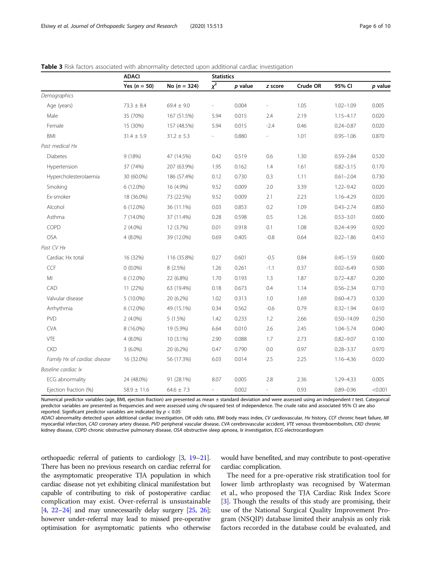|                              | <b>ADACI</b>    |                |                          | <b>Statistics</b> |                |          |                |           |
|------------------------------|-----------------|----------------|--------------------------|-------------------|----------------|----------|----------------|-----------|
|                              | Yes $(n = 50)$  | No $(n = 324)$ | $\overline{x^2}$         | $p$ value         | z score        | Crude OR | 95% CI         | $p$ value |
| Demographics                 |                 |                |                          |                   |                |          |                |           |
| Age (years)                  | $73.3 \pm 8.4$  | $69.4 \pm 9.0$ | $\overline{\phantom{a}}$ | 0.004             | $\overline{a}$ | 1.05     | $1.02 - 1.09$  | 0.005     |
| Male                         | 35 (70%)        | 167 (51.5%)    | 5.94                     | 0.015             | 2.4            | 2.19     | $1.15 - 4.17$  | 0.020     |
| Female                       | 15 (30%)        | 157 (48.5%)    | 5.94                     | 0.015             | $-2.4$         | 0.46     | $0.24 - 0.87$  | 0.020     |
| <b>BMI</b>                   | $31.4 \pm 5.9$  | $31.2 \pm 5.3$ | $\overline{\phantom{a}}$ | 0.880             | $\frac{1}{2}$  | 1.01     | $0.95 - 1.06$  | 0.870     |
| Past medical Hx              |                 |                |                          |                   |                |          |                |           |
| <b>Diabetes</b>              | 9 (18%)         | 47 (14.5%)     | 0.42                     | 0.519             | 0.6            | 1.30     | $0.59 - 2.84$  | 0.520     |
| Hypertension                 | 37 (74%)        | 207 (63.9%)    | 1.95                     | 0.162             | 1.4            | 1.61     | $0.82 - 3.15$  | 0.170     |
| Hypercholesterolaemia        | 30 (60.0%)      | 186 (57.4%)    | 0.12                     | 0.730             | 0.3            | 1.11     | $0.61 - 2.04$  | 0.730     |
| Smoking                      | 6 (12.0%)       | 16 (4.9%)      | 9.52                     | 0.009             | 2.0            | 3.39     | $1.22 - 9.42$  | 0.020     |
| Ex-smoker                    | 18 (36.0%)      | 73 (22.5%)     | 9.52                     | 0.009             | 2.1            | 2.23     | $1.16 - 4.29$  | 0.020     |
| Alcohol                      | 6 (12.0%)       | 36 (11.1%)     | 0.03                     | 0.853             | 0.2            | 1.09     | $0.43 - 2.74$  | 0.850     |
| Asthma                       | 7 (14.0%)       | 37 (11.4%)     | 0.28                     | 0.598             | 0.5            | 1.26     | $0.53 - 3.01$  | 0.600     |
| COPD                         | $2(4.0\%)$      | 12 (3.7%)      | 0.01                     | 0.918             | 0.1            | 1.08     | $0.24 - 4.99$  | 0.920     |
| OSA                          | 4 (8.0%)        | 39 (12.0%)     | 0.69                     | 0.405             | $-0.8$         | 0.64     | $0.22 - 1.86$  | 0.410     |
| Past CV Hx                   |                 |                |                          |                   |                |          |                |           |
| Cardiac Hx total             | 16 (32%)        | 116 (35.8%)    | 0.27                     | 0.601             | $-0.5$         | 0.84     | $0.45 - 1.59$  | 0.600     |
| CCF                          | $0(0.0\%)$      | 8 (2.5%)       | 1.26                     | 0.261             | $-1.1$         | 0.37     | $0.02 - 6.49$  | 0.500     |
| MI                           | 6 (12.0%)       | 22 (6.8%)      | 1.70                     | 0.193             | 1.3            | 1.87     | $0.72 - 4.87$  | 0.200     |
| CAD                          | 11 (22%)        | 63 (19.4%)     | 0.18                     | 0.673             | 0.4            | 1.14     | $0.56 - 2.34$  | 0.710     |
| Valvular disease             | 5 (10.0%)       | 20 (6.2%)      | 1.02                     | 0.313             | 1.0            | 1.69     | $0.60 - 4.73$  | 0.320     |
| Arrhythmia                   | 6 (12.0%)       | 49 (15.1%)     | 0.34                     | 0.562             | $-0.6$         | 0.79     | $0.32 - 1.94$  | 0.610     |
| <b>PVD</b>                   | $2(4.0\%)$      | 5(1.5%)        | 1.42                     | 0.233             | 1.2            | 2.66     | $0.50 - 14.09$ | 0.250     |
| <b>CVA</b>                   | 8 (16.0%)       | 19 (5.9%)      | 6.64                     | 0.010             | 2.6            | 2.45     | $1.04 - 5.74$  | 0.040     |
| VTE                          | 4 (8.0%)        | $10(3.1\%)$    | 2.90                     | 0.088             | 1.7            | 2.73     | $0.82 - 9.07$  | 0.100     |
| <b>CKD</b>                   | $3(6.0\%)$      | 20 (6.2%)      | 0.47                     | 0.790             | 0.0            | 0.97     | $0.28 - 3.37$  | 0.970     |
| Family Hx of cardiac disease | 16 (32.0%)      | 56 (17.3%)     | 6.03                     | 0.014             | 2.5            | 2.25     | 1.16-4.36      | 0.020     |
| Baseline cardiac lx          |                 |                |                          |                   |                |          |                |           |
| ECG abnormality              | 24 (48.0%)      | 91 (28.1%)     | 8.07                     | 0.005             | 2.8            | 2.36     | 1.29-4.33      | 0.005     |
| Ejection fraction (%)        | $58.9 \pm 11.6$ | $64.6 \pm 7.3$ |                          | 0.002             | $\frac{1}{2}$  | 0.93     | $0.89 - 0.96$  | < 0.001   |

<span id="page-5-0"></span>Table 3 Risk factors associated with abnormality detected upon additional cardiac investigation

Numerical predictor variables (age, BMI, ejection fraction) are presented as mean ± standard deviation and were assessed using an independent t test. Categorical predictor variables are presented as frequencies and were assessed using chi-squared test of independence. The crude ratio and associated 95% CI are also reported. Significant predictor variables are indicated by  $p < 0.05$ 

ADACI abnormality detected upon additional cardiac investigation, OR odds ratio, BMI body mass index, CV cardiovascular, Hx history, CCF chronic heart failure, MI myocardial infarction, CAD coronary artery disease, PVD peripheral vascular disease, CVA cerebrovascular accident, VTE venous thromboembolism, CKD chronic kidney disease, COPD chronic obstructive pulmonary disease, OSA obstructive sleep apnoea, Ix investigation, ECG electrocardiogram

orthopaedic referral of patients to cardiology [\[3](#page-8-0), [19](#page-9-0)–[21](#page-9-0)]. There has been no previous research on cardiac referral for the asymptomatic preoperative TJA population in which cardiac disease not yet exhibiting clinical manifestation but capable of contributing to risk of postoperative cardiac complication may exist. Over-referral is unsustainable  $[4, 22-24]$  $[4, 22-24]$  $[4, 22-24]$  $[4, 22-24]$  $[4, 22-24]$  $[4, 22-24]$  $[4, 22-24]$  and may unnecessarily delay surgery  $[25, 26]$  $[25, 26]$  $[25, 26]$  $[25, 26]$ ; however under-referral may lead to missed pre-operative optimisation for asymptomatic patients who otherwise would have benefited, and may contribute to post-operative cardiac complication.

The need for a pre-operative risk stratification tool for lower limb arthroplasty was recognised by Waterman et al., who proposed the TJA Cardiac Risk Index Score [[3\]](#page-8-0). Though the results of this study are promising, their use of the National Surgical Quality Improvement Program (NSQIP) database limited their analysis as only risk factors recorded in the database could be evaluated, and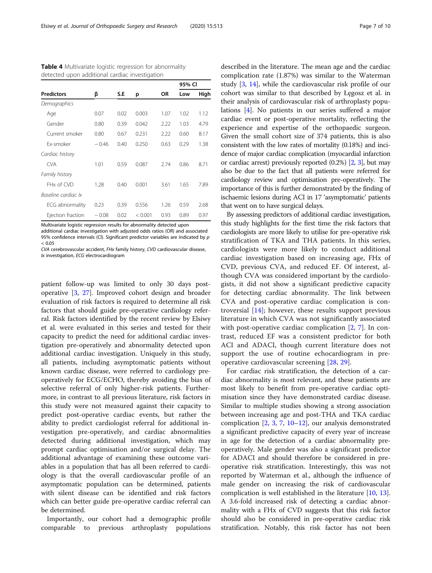|                     |         |      |         |      | 95% Cl |      |
|---------------------|---------|------|---------|------|--------|------|
| <b>Predictors</b>   | β       | S.E  | p       | OR.  | Low    | High |
| Demographics        |         |      |         |      |        |      |
| Age                 | 0.07    | 0.02 | 0.003   | 1.07 | 1.02   | 1.12 |
| Gender              | 0.80    | 0.39 | 0.042   | 2.22 | 1.03   | 4.79 |
| Current smoker      | 0.80    | 0.67 | 0.231   | 2.22 | 0.60   | 8.17 |
| Fx-smoker           | $-0.46$ | 0.40 | 0.250   | 0.63 | 0.29   | 1.38 |
| Cardiac history     |         |      |         |      |        |      |
| <b>CVA</b>          | 1.01    | 0.59 | 0.087   | 2.74 | 0.86   | 8.71 |
| Family history      |         |      |         |      |        |      |
| FHx of CVD          | 1.28    | 0.40 | 0.001   | 3.61 | 1.65   | 7.89 |
| Baseline cardiac Ix |         |      |         |      |        |      |
| ECG abnormality     | 0.23    | 0.39 | 0.556   | 1.26 | 0.59   | 2.68 |
| Ejection fraction   | $-0.08$ | 0.02 | < 0.001 | 0.93 | 0.89   | 0.97 |

<span id="page-6-0"></span>Table 4 Multivariate logistic regression for abnormality detected upon additional cardiac investigation

Multivariate logistic regression results for abnormality detected upon additional cardiac investigation with adjusted odds ratios (OR) and associated 95% confidence intervals (Cl). Significant predictor variables are indicated by  $p$  $< 0.05$ 

CVA cerebrovascular accident, FHx family history, CVD cardiovascular disease, Ix investigation, ECG electrocardiogram

patient follow-up was limited to only 30 days postoperative [[3,](#page-8-0) [27](#page-9-0)]. Improved cohort design and broader evaluation of risk factors is required to determine all risk factors that should guide pre-operative cardiology referral. Risk factors identified by the recent review by Elsiwy et al. were evaluated in this series and tested for their capacity to predict the need for additional cardiac investigation pre-operatively and abnormality detected upon additional cardiac investigation. Uniquely in this study, all patients, including asymptomatic patients without known cardiac disease, were referred to cardiology preoperatively for ECG/ECHO, thereby avoiding the bias of selective referral of only higher-risk patients. Furthermore, in contrast to all previous literature, risk factors in this study were not measured against their capacity to predict post-operative cardiac events, but rather the ability to predict cardiologist referral for additional investigation pre-operatively, and cardiac abnormalities detected during additional investigation, which may prompt cardiac optimisation and/or surgical delay. The additional advantage of examining these outcome variables in a population that has all been referred to cardiology is that the overall cardiovascular profile of an asymptomatic population can be determined, patients with silent disease can be identified and risk factors which can better guide pre-operative cardiac referral can be determined.

Importantly, our cohort had a demographic profile comparable to previous arthroplasty populations

described in the literature. The mean age and the cardiac complication rate (1.87%) was similar to the Waterman study [\[3](#page-8-0), [14](#page-8-0)], while the cardiovascular risk profile of our cohort was similar to that described by Łęgosz et al. in their analysis of cardiovascular risk of arthroplasty populations [[4\]](#page-8-0). No patients in our series suffered a major cardiac event or post-operative mortality, reflecting the experience and expertise of the orthopaedic surgeon. Given the small cohort size of 374 patients, this is also consistent with the low rates of mortality (0.18%) and incidence of major cardiac complication (myocardial infarction or cardiac arrest) previously reported  $(0.2%)$  $(0.2%)$  $(0.2%)$   $[2, 3]$  $[2, 3]$  $[2, 3]$ , but may also be due to the fact that all patients were referred for cardiology review and optimisation pre-operatively. The importance of this is further demonstrated by the finding of ischaemic lesions during ACI in 17 'asymptomatic' patients that went on to have surgical delays.

By assessing predictors of additional cardiac investigation, this study highlights for the first time the risk factors that cardiologists are more likely to utilise for pre-operative risk stratification of TKA and THA patients. In this series, cardiologists were more likely to conduct additional cardiac investigation based on increasing age, FHx of CVD, previous CVA, and reduced EF. Of interest, although CVA was considered important by the cardiologists, it did not show a significant predictive capacity for detecting cardiac abnormality. The link between CVA and post-operative cardiac complication is controversial [[14\]](#page-8-0); however, these results support previous literature in which CVA was not significantly associated with post-operative cardiac complication [\[2](#page-8-0), [7\]](#page-8-0). In contrast, reduced EF was a consistent predictor for both ACI and ADACI, though current literature does not support the use of routine echocardiogram in preoperative cardiovascular screening [\[28](#page-9-0), [29](#page-9-0)].

For cardiac risk stratification, the detection of a cardiac abnormality is most relevant, and these patients are most likely to benefit from pre-operative cardiac optimisation since they have demonstrated cardiac disease. Similar to multiple studies showing a strong association between increasing age and post-THA and TKA cardiac complication [\[2](#page-8-0), [3,](#page-8-0) [7](#page-8-0), [10](#page-8-0)–[12](#page-8-0)], our analysis demonstrated a significant predictive capacity of every year of increase in age for the detection of a cardiac abnormality preoperatively. Male gender was also a significant predictor for ADACI and should therefore be considered in preoperative risk stratification. Interestingly, this was not reported by Waterman et al., although the influence of male gender on increasing the risk of cardiovascular complication is well established in the literature [\[10](#page-8-0), [13](#page-8-0)]. A 3.6-fold increased risk of detecting a cardiac abnormality with a FHx of CVD suggests that this risk factor should also be considered in pre-operative cardiac risk stratification. Notably, this risk factor has not been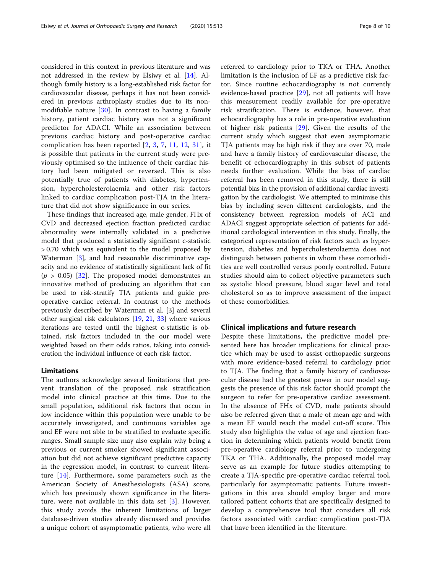considered in this context in previous literature and was not addressed in the review by Elsiwy et al. [\[14](#page-8-0)]. Although family history is a long-established risk factor for cardiovascular disease, perhaps it has not been considered in previous arthroplasty studies due to its nonmodifiable nature [[30](#page-9-0)]. In contrast to having a family history, patient cardiac history was not a significant predictor for ADACI. While an association between previous cardiac history and post-operative cardiac complication has been reported [[2](#page-8-0), [3](#page-8-0), [7](#page-8-0), [11](#page-8-0), [12](#page-8-0), [31](#page-9-0)], it is possible that patients in the current study were previously optimised so the influence of their cardiac history had been mitigated or reversed. This is also potentially true of patients with diabetes, hypertension, hypercholesterolaemia and other risk factors linked to cardiac complication post-TJA in the literature that did not show significance in our series.

These findings that increased age, male gender, FHx of CVD and decreased ejection fraction predicted cardiac abnormality were internally validated in a predictive model that produced a statistically significant c-statistic > 0.70 which was equivalent to the model proposed by Waterman [\[3](#page-8-0)], and had reasonable discriminative capacity and no evidence of statistically significant lack of fit  $(p > 0.05)$  [[32\]](#page-9-0). The proposed model demonstrates an innovative method of producing an algorithm that can be used to risk-stratify TJA patients and guide preoperative cardiac referral. In contrast to the methods previously described by Waterman et al. [3] and several other surgical risk calculators [[19](#page-9-0), [21,](#page-9-0) [33](#page-9-0)] where various iterations are tested until the highest c-statistic is obtained, risk factors included in the our model were weighted based on their odds ratios, taking into consideration the individual influence of each risk factor.

## Limitations

The authors acknowledge several limitations that prevent translation of the proposed risk stratification model into clinical practice at this time. Due to the small population, additional risk factors that occur in low incidence within this population were unable to be accurately investigated, and continuous variables age and EF were not able to be stratified to evaluate specific ranges. Small sample size may also explain why being a previous or current smoker showed significant association but did not achieve significant predictive capacity in the regression model, in contrast to current literature [[14\]](#page-8-0). Furthermore, some parameters such as the American Society of Anesthesiologists (ASA) score, which has previously shown significance in the literature, were not available in this data set [\[3](#page-8-0)]. However, this study avoids the inherent limitations of larger database-driven studies already discussed and provides a unique cohort of asymptomatic patients, who were all

referred to cardiology prior to TKA or THA. Another limitation is the inclusion of EF as a predictive risk factor. Since routine echocardiography is not currently evidence-based practice  $[29]$  $[29]$ , not all patients will have this measurement readily available for pre-operative risk stratification. There is evidence, however, that echocardiography has a role in pre-operative evaluation of higher risk patients [\[29](#page-9-0)]. Given the results of the current study which suggest that even asymptomatic TJA patients may be high risk if they are over 70, male and have a family history of cardiovascular disease, the benefit of echocardiography in this subset of patients needs further evaluation. While the bias of cardiac referral has been removed in this study, there is still potential bias in the provision of additional cardiac investigation by the cardiologist. We attempted to minimise this bias by including seven different cardiologists, and the consistency between regression models of ACI and ADACI suggest appropriate selection of patients for additional cardiological intervention in this study. Finally, the categorical representation of risk factors such as hypertension, diabetes and hypercholesterolaemia does not distinguish between patients in whom these comorbidities are well controlled versus poorly controlled. Future studies should aim to collect objective parameters such as systolic blood pressure, blood sugar level and total cholesterol so as to improve assessment of the impact of these comorbidities.

# Clinical implications and future research

Despite these limitations, the predictive model presented here has broader implications for clinical practice which may be used to assist orthopaedic surgeons with more evidence-based referral to cardiology prior to TJA. The finding that a family history of cardiovascular disease had the greatest power in our model suggests the presence of this risk factor should prompt the surgeon to refer for pre-operative cardiac assessment. In the absence of FHx of CVD, male patients should also be referred given that a male of mean age and with a mean EF would reach the model cut-off score. This study also highlights the value of age and ejection fraction in determining which patients would benefit from pre-operative cardiology referral prior to undergoing TKA or THA. Additionally, the proposed model may serve as an example for future studies attempting to create a TJA-specific pre-operative cardiac referral tool, particularly for asymptomatic patients. Future investigations in this area should employ larger and more tailored patient cohorts that are specifically designed to develop a comprehensive tool that considers all risk factors associated with cardiac complication post-TJA that have been identified in the literature.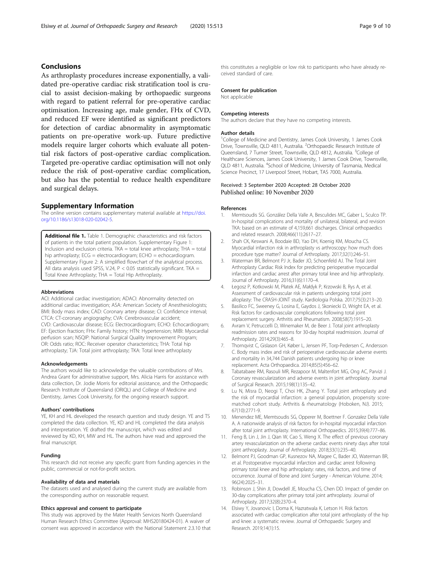# <span id="page-8-0"></span>Conclusions

As arthroplasty procedures increase exponentially, a validated pre-operative cardiac risk stratification tool is crucial to assist decision-making by orthopaedic surgeons with regard to patient referral for pre-operative cardiac optimisation. Increasing age, male gender, FHx of CVD, and reduced EF were identified as significant predictors for detection of cardiac abnormality in asymptomatic patients on pre-operative work-up. Future predictive models require larger cohorts which evaluate all potential risk factors of post-operative cardiac complication. Targeted pre-operative cardiac optimisation will not only reduce the risk of post-operative cardiac complication, but also has the potential to reduce health expenditure and surgical delays.

#### Supplementary Information

The online version contains supplementary material available at [https://doi.](https://doi.org/10.1186/s13018-020-02042-5) [org/10.1186/s13018-020-02042-5.](https://doi.org/10.1186/s13018-020-02042-5)

Additional file 1. Table 1. Demographic characteristics and risk factors of patients in the total patient population. Supplementary Figure 1: Inclusion and exclusion criteria. TKA = total knee arthroplasty; THA = total hip arthroplasty; ECG = electrocardiogram; ECHO = echocardiogram. Supplementary Figure 2: A simplified flowchart of the analytical process. All data analysis used SPSS, V.24,  $P < 0.05$  statistically significant. TKA = Total Knee Arthroplasty; THA = Total Hip Arthroplasty.

#### Abbreviations

ACI: Additional cardiac investigation; ADACI: Abnormality detected on additional cardiac investigation; ASA: American Society of Anesthesiologists; BMI: Body mass index; CAD: Coronary artery disease; CI: Confidence interval; CTCA: CT-coronary angiography; CVA: Cerebrovascular accident; CVD: Cardiovascular disease; ECG: Electrocardiogram; ECHO: Echocardiogram; EF: Ejection fraction; FHx: Family history; HTN: Hypertension; MIBI: Myocardial perfusion scan; NSQIP: National Surgical Quality Improvement Program; OR: Odds ratio; ROC: Receiver operator characteristics; THA: Total hip arthroplasty; TJA: Total joint arthroplasty; TKA: Total knee arthroplasty

#### Acknowledgements

The authors would like to acknowledge the valuable contributions of Mrs. Andrea Grant for administrative support, Mrs. Alicia Harris for assistance with data collection, Dr. Jodie Morris for editorial assistance, and the Orthopaedic Research Institute of Queensland (ORIQL) and College of Medicine and Dentistry, James Cook University, for the ongoing research support.

#### Authors' contributions

YE, KH and HL developed the research question and study design. YE and TS completed the data collection. YE, KD and HL completed the data analysis and interpretation. YE drafted the manuscript, which was edited and reviewed by KD, KH, MW and HL. The authors have read and approved the final manuscript.

#### Funding

This research did not receive any specific grant from funding agencies in the public, commercial or not-for-profit sectors.

#### Availability of data and materials

The datasets used and analysed during the current study are available from the corresponding author on reasonable request.

#### Ethics approval and consent to participate

This study was approved by the Mater Health Services North Queensland Human Research Ethics Committee (Approval: MHS20180424-01). A waiver of consent was approved in accordance with the National Statement 2.3.10 that this constitutes a negligible or low risk to participants who have already received standard of care.

#### Consent for publication

Not applicable

#### Competing interests

The authors declare that they have no competing interests.

#### Author details

<sup>1</sup>College of Medicine and Dentistry, James Cook University, 1 James Cook Drive, Townsville, QLD 4811, Australia. <sup>2</sup>Orthopaedic Research Institute of Queensland, 7 Turner Street, Townsville, QLD 4812, Australia. <sup>3</sup>College of Healthcare Sciences, James Cook University, 1 James Cook Drive, Townsville, QLD 4811, Australia. <sup>4</sup>School of Medicine, University of Tasmania, Medical Science Precinct, 17 Liverpool Street, Hobart, TAS 7000, Australia.

# Received: 3 September 2020 Accepted: 28 October 2020

#### References

- 1. Memtsoudis SG. González Della Valle A, Besculides MC, Gaber L, Sculco TP. In-hospital complications and mortality of unilateral, bilateral, and revision TKA: based on an estimate of 4,159,661 discharges. Clinical orthopaedics and related research. 2008;466(11):2617–27.
- 2. Shah CK, Keswani A, Boodaie BD, Yao DH, Koenig KM, Moucha CS. Myocardial infarction risk in arthroplasty vs arthroscopy: how much does procedure type matter? Journal of Arthroplasty. 2017;32(1):246–51.
- 3. Waterman BR, Belmont PJ Jr, Bader JO, Schoenfeld AJ. The Total Joint Arthroplasty Cardiac Risk Index for predicting perioperative myocardial infarction and cardiac arrest after primary total knee and hip arthroplasty. Journal of Arthroplasty. 2016;31(6):1170–4.
- 4. Łegosz P, Kotkowski M, Płatek AE, Małdyk P, Krzowski B, Rys A, et al. Assessment of cardiovascular risk in patients undergoing total joint alloplasty: The CRASH-JOINT study. Kardiologia Polska. 2017;75(3):213–20.
- 5. Basilico FC, Sweeney G, Losina E, Gaydos J, Skoniecki D, Wright EA, et al. Risk factors for cardiovascular complications following total joint replacement surgery. Arthritis and Rheumatism. 2008;58(7):1915–20.
- 6. Avram V, Petruccelli D, Winemaker M, de Beer J. Total joint arthroplasty readmission rates and reasons for 30-day hospital readmission. Journal of Arthroplasty. 2014;29(3):465–8.
- 7. Thornqvist C, Gislason GH, Køber L, Jensen PF, Torp-Pedersen C, Andersson C. Body mass index and risk of perioperative cardiovascular adverse events and mortality in 34,744 Danish patients undergoing hip or knee replacement. Acta Orthopaedica. 2014;85(5):456–62.
- 8. Tabatabaee RM, Rasouli MR, Rezapoor M, Maltenfort MG, Ong AC, Parvizi J. Coronary revascularization and adverse events in joint arthroplasty. Journal of Surgical Research. 2015;198(1):135–42.
- 9. Lu N, Misra D, Neogi T, Choi HK, Zhang Y. Total joint arthroplasty and the risk of myocardial infarction: a general population, propensity scorematched cohort study. Arthritis & rheumatology (Hoboken, NJ). 2015; 67(10):2771-9.
- 10. Menendez ME, Memtsoudis SG, Opperer M, Boettner F. Gonzalez Della Valle A. A nationwide analysis of risk factors for in-hospital myocardial infarction after total joint arthroplasty. International Orthopaedics. 2015;39(4):777–86.
- 11. Feng B, Lin J, Jin J, Qian W, Cao S, Weng X. The effect of previous coronary artery revascularization on the adverse cardiac events ninety days after total joint arthroplasty. Journal of Arthroplasty. 2018;33(1):235–40.
- 12. Belmont PJ, Goodman GP, Kusnezov NA, Magee C, Bader JO, Waterman BR, et al. Postoperative myocardial infarction and cardiac arrest following primary total knee and hip arthroplasty: rates, risk factors, and time of occurrence. Journal of Bone and Joint Surgery - American Volume. 2014; 96(24):2025–31.
- 13. Robinson J, Shin JI, Dowdell JE, Moucha CS, Chen DD. Impact of gender on 30-day complications after primary total joint arthroplasty. Journal of Arthroplasty. 2017;32(8):2370–4.
- 14. Elsiwy Y, Jovanovic I, Doma K, Hazratwala K, Letson H. Risk factors associated with cardiac complication after total joint arthroplasty of the hip and knee: a systematic review. Journal of Orthopaedic Surgery and Research. 2019;14(1):15.